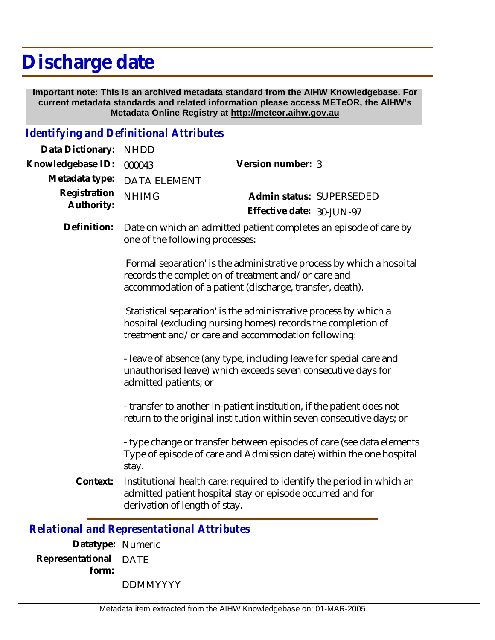## **Discharge date**

 **Important note: This is an archived metadata standard from the AIHW Knowledgebase. For current metadata standards and related information please access METeOR, the AIHW's Metadata Online Registry at http://meteor.aihw.gov.au**

## *Identifying and Definitional Attributes*

| Data Dictionary:  | <b>NHDD</b>                                                                                                                                                                              |                                                                                                                                               |
|-------------------|------------------------------------------------------------------------------------------------------------------------------------------------------------------------------------------|-----------------------------------------------------------------------------------------------------------------------------------------------|
| Knowledgebase ID: | 000043                                                                                                                                                                                   | Version number: 3                                                                                                                             |
| Metadata type:    | <b>DATA ELEMENT</b>                                                                                                                                                                      |                                                                                                                                               |
| Registration      | <b>NHIMG</b>                                                                                                                                                                             | Admin status: SUPERSEDED                                                                                                                      |
| Authority:        |                                                                                                                                                                                          | Effective date: 30-JUN-97                                                                                                                     |
| Definition:       | Date on which an admitted patient completes an episode of care by<br>one of the following processes:                                                                                     |                                                                                                                                               |
|                   | 'Formal separation' is the administrative process by which a hospital<br>records the completion of treatment and/or care and<br>accommodation of a patient (discharge, transfer, death). |                                                                                                                                               |
|                   | 'Statistical separation' is the administrative process by which a<br>hospital (excluding nursing homes) records the completion of<br>treatment and/or care and accommodation following:  |                                                                                                                                               |
|                   | - leave of absence (any type, including leave for special care and<br>unauthorised leave) which exceeds seven consecutive days for<br>admitted patients; or                              |                                                                                                                                               |
|                   |                                                                                                                                                                                          | - transfer to another in-patient institution, if the patient does not<br>return to the original institution within seven consecutive days; or |
|                   | stay.                                                                                                                                                                                    | - type change or transfer between episodes of care (see data elements<br>Type of episode of care and Admission date) within the one hospital  |
| Context:          | derivation of length of stay.                                                                                                                                                            | Institutional health care: required to identify the period in which an<br>admitted patient hospital stay or episode occurred and for          |
|                   | Relational and Representational Attributes                                                                                                                                               |                                                                                                                                               |

*Relational and Representational Attributes*

**Datatype:** Numeric **Representational** DATE  **form:**

DDMMYYYY